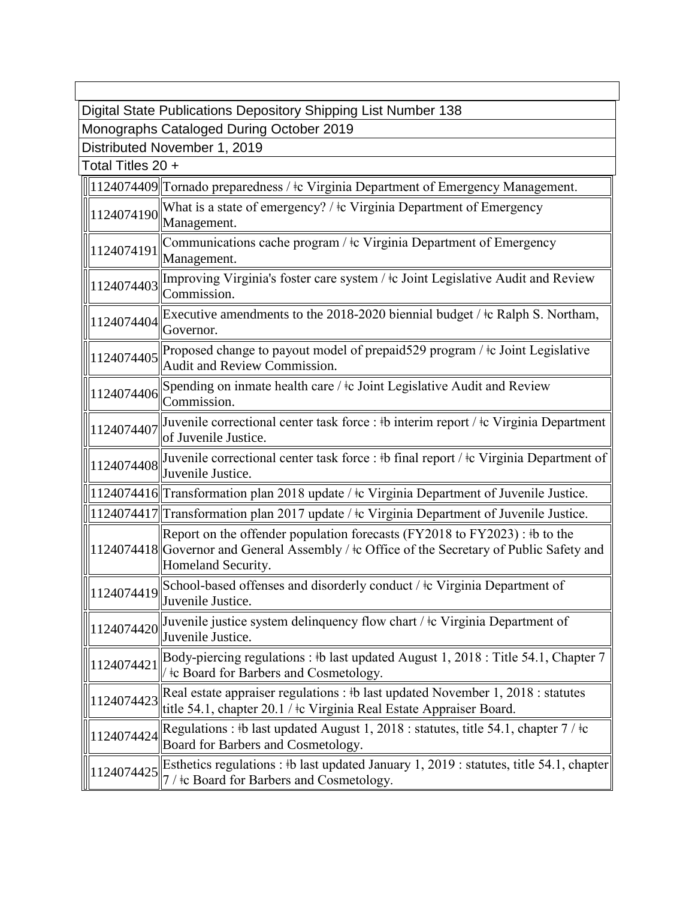| Digital State Publications Depository Shipping List Number 138 |                                                                                                                                                                                                           |  |
|----------------------------------------------------------------|-----------------------------------------------------------------------------------------------------------------------------------------------------------------------------------------------------------|--|
| Monographs Cataloged During October 2019                       |                                                                                                                                                                                                           |  |
| Distributed November 1, 2019                                   |                                                                                                                                                                                                           |  |
| Total Titles 20 +                                              |                                                                                                                                                                                                           |  |
|                                                                | 1124074409 Tornado preparedness / ‡c Virginia Department of Emergency Management.                                                                                                                         |  |
| 1124074190                                                     | What is a state of emergency? / ‡c Virginia Department of Emergency<br>Management.                                                                                                                        |  |
| 1124074191                                                     | Communications cache program / ‡c Virginia Department of Emergency<br>Management.                                                                                                                         |  |
| 1124074403                                                     | Improving Virginia's foster care system / ‡c Joint Legislative Audit and Review<br>Commission.                                                                                                            |  |
| 1124074404                                                     | Executive amendments to the 2018-2020 biennial budget / $\pm c$ Ralph S. Northam,<br>Governor.                                                                                                            |  |
| 1124074405                                                     | Proposed change to payout model of prepaid 529 program $/$ $\pm$ c Joint Legislative<br>Audit and Review Commission.                                                                                      |  |
| 1124074406                                                     | Spending on inmate health care / ‡c Joint Legislative Audit and Review<br>Commission.                                                                                                                     |  |
| 1124074407                                                     | Juvenile correctional center task force : #b interim report / #c Virginia Department<br>of Juvenile Justice.                                                                                              |  |
| 1124074408                                                     | Juvenile correctional center task force : #b final report / $\pm$ c Virginia Department of<br>Juvenile Justice.                                                                                           |  |
|                                                                | 1124074416 Transformation plan 2018 update / ‡c Virginia Department of Juvenile Justice.                                                                                                                  |  |
|                                                                | 1124074417 Transformation plan 2017 update / ‡c Virginia Department of Juvenile Justice.                                                                                                                  |  |
|                                                                | Report on the offender population forecasts (FY2018 to FY2023) : $\frac{1}{2}$ to the<br>1124074418 Governor and General Assembly / ‡c Office of the Secretary of Public Safety and<br>Homeland Security. |  |
|                                                                | 1124074419 School-based offenses and disorderly conduct / ‡c Virginia Department of<br>Juvenile Justice.                                                                                                  |  |
| 1124074420                                                     | Juvenile justice system delinquency flow chart / ‡c Virginia Department of<br>Juvenile Justice.                                                                                                           |  |
| 1124074421                                                     | Body-piercing regulations : #b last updated August 1, 2018 : Title 54.1, Chapter 7<br>the Board for Barbers and Cosmetology.                                                                              |  |
| 1124074423                                                     | Real estate appraiser regulations : $\frac{1}{2}$ hast updated November 1, 2018 : statutes<br>title 54.1, chapter 20.1 / ‡c Virginia Real Estate Appraiser Board.                                         |  |
| 1124074424                                                     | Regulations : #b last updated August 1, 2018 : statutes, title 54.1, chapter $7/$ ‡c<br>Board for Barbers and Cosmetology.                                                                                |  |
| 1124074425                                                     | Esthetics regulations : #b last updated January 1, 2019 : statutes, title 54.1, chapter<br>7 / ‡c Board for Barbers and Cosmetology.                                                                      |  |